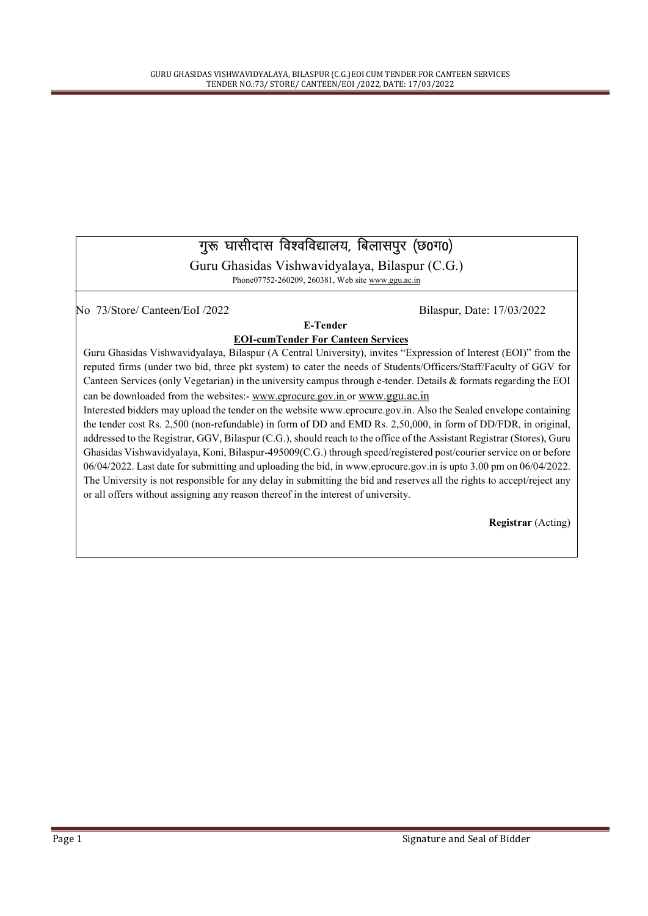### गुरू घासीदास विश्वविद्यालय, बिलासपुर (छ0ग0)

Guru Ghasidas Vishwavidyalaya, Bilaspur (C.G.) Phone07752-260209, 260381, Web site www.ggu.ac.in

No 73/Store/ Canteen/EoI /2022 Bilaspur, Date: 17/03/2022

#### E-Tender EOI-cumTender For Canteen Services

Guru Ghasidas Vishwavidyalaya, Bilaspur (A Central University), invites "Expression of Interest (EOI)" from the reputed firms (under two bid, three pkt system) to cater the needs of Students/Officers/Staff/Faculty of GGV for Canteen Services (only Vegetarian) in the university campus through e-tender. Details & formats regarding the EOI can be downloaded from the websites:- www.eprocure.gov.in or www.ggu.ac.in

Interested bidders may upload the tender on the website www.eprocure.gov.in. Also the Sealed envelope containing the tender cost Rs. 2,500 (non-refundable) in form of DD and EMD Rs. 2,50,000, in form of DD/FDR, in original, addressed to the Registrar, GGV, Bilaspur (C.G.), should reach to the office of the Assistant Registrar (Stores), Guru Ghasidas Vishwavidyalaya, Koni, Bilaspur-495009(C.G.) through speed/registered post/courier service on or before 06/04/2022. Last date for submitting and uploading the bid, in www.eprocure.gov.in is upto 3.00 pm on 06/04/2022. The University is not responsible for any delay in submitting the bid and reserves all the rights to accept/reject any or all offers without assigning any reason thereof in the interest of university.

Registrar (Acting)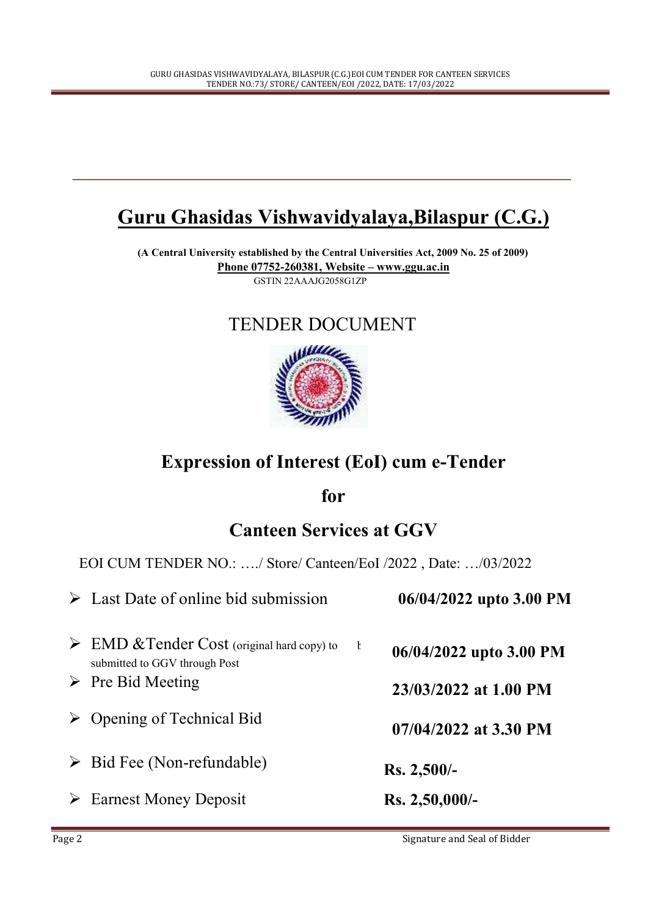# Guru Ghasidas Vishwavidyalaya,Bilaspur (C.G.)

(A Central University established by the Central Universities Act, 2009 No. 25 of 2009) Phone 07752-260381, Website – www.ggu.ac.in GSTIN 22AAAJG2058G1ZP

### TENDER DOCUMENT



## Expression of Interest (EoI) cum e-Tender

for

## Canteen Services at GGV

EOI CUM TENDER NO.: …./ Store/ Canteen/EoI /2022 , Date: …/03/2022

|   | $\triangleright$ Last Date of online bid submission                                         |              | 06/04/2022 upto 3.00 PM |
|---|---------------------------------------------------------------------------------------------|--------------|-------------------------|
|   | $\triangleright$ EMD & Tender Cost (original hard copy) to<br>submitted to GGV through Post | $\mathbf{t}$ | 06/04/2022 upto 3.00 PM |
|   | $\triangleright$ Pre Bid Meeting                                                            |              | 23/03/2022 at 1.00 PM   |
| ➤ | Opening of Technical Bid                                                                    |              | $07/04/2022$ at 3.30 PM |
|   | $\triangleright$ Bid Fee (Non-refundable)                                                   |              | $Rs. 2,500/-$           |
| ➤ | <b>Earnest Money Deposit</b>                                                                |              | $Rs. 2,50,000/$ -       |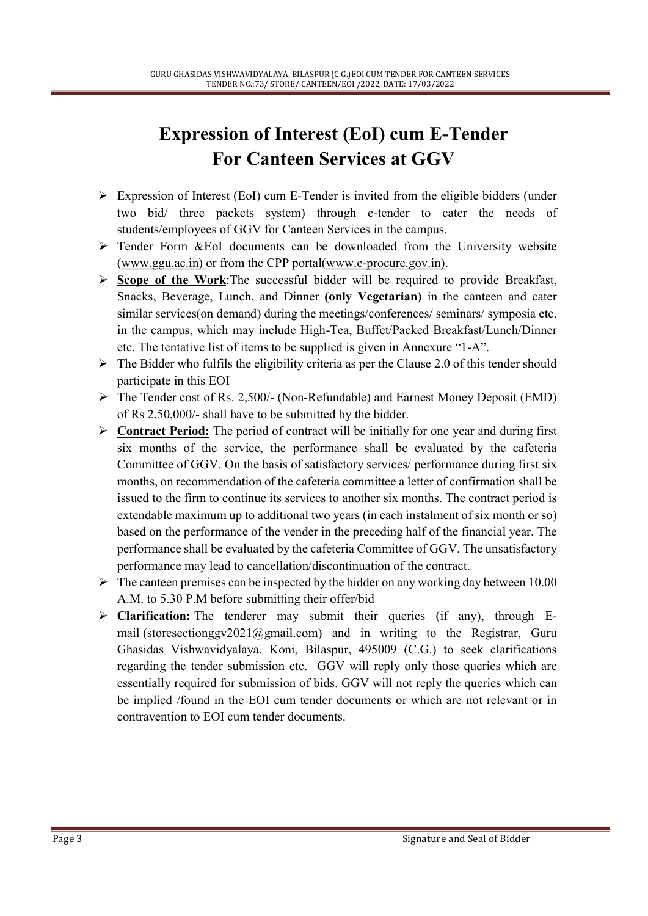# Expression of Interest (EoI) cum E-Tender For Canteen Services at GGV

- $\triangleright$  Expression of Interest (EoI) cum E-Tender is invited from the eligible bidders (under two bid/ three packets system) through e-tender to cater the needs of students/employees of GGV for Canteen Services in the campus.
- Tender Form &EoI documents can be downloaded from the University website (www.ggu.ac.in) or from the CPP portal(www.e-procure.gov.in).
- $\triangleright$  Scope of the Work: The successful bidder will be required to provide Breakfast, Snacks, Beverage, Lunch, and Dinner (only Vegetarian) in the canteen and cater similar services(on demand) during the meetings/conferences/ seminars/ symposia etc. in the campus, which may include High-Tea, Buffet/Packed Breakfast/Lunch/Dinner etc. The tentative list of items to be supplied is given in Annexure "1-A".
- $\triangleright$  The Bidder who fulfils the eligibility criteria as per the Clause 2.0 of this tender should participate in this EOI
- $\triangleright$  The Tender cost of Rs. 2,500/- (Non-Refundable) and Earnest Money Deposit (EMD) of Rs 2,50,000/- shall have to be submitted by the bidder.
- $\triangleright$  Contract Period: The period of contract will be initially for one year and during first six months of the service, the performance shall be evaluated by the cafeteria Committee of GGV. On the basis of satisfactory services/ performance during first six months, on recommendation of the cafeteria committee a letter of confirmation shall be issued to the firm to continue its services to another six months. The contract period is extendable maximum up to additional two years (in each instalment of six month or so) based on the performance of the vender in the preceding half of the financial year. The performance shall be evaluated by the cafeteria Committee of GGV. The unsatisfactory performance may lead to cancellation/discontinuation of the contract.
- $\triangleright$  The canteen premises can be inspected by the bidder on any working day between 10.00 A.M. to 5.30 P.M before submitting their offer/bid
- $\triangleright$  Clarification: The tenderer may submit their queries (if any), through Email (storesectionggv2021@gmail.com) and in writing to the Registrar, Guru Ghasidas Vishwavidyalaya, Koni, Bilaspur, 495009 (C.G.) to seek clarifications regarding the tender submission etc. GGV will reply only those queries which are essentially required for submission of bids. GGV will not reply the queries which can be implied /found in the EOI cum tender documents or which are not relevant or in contravention to EOI cum tender documents.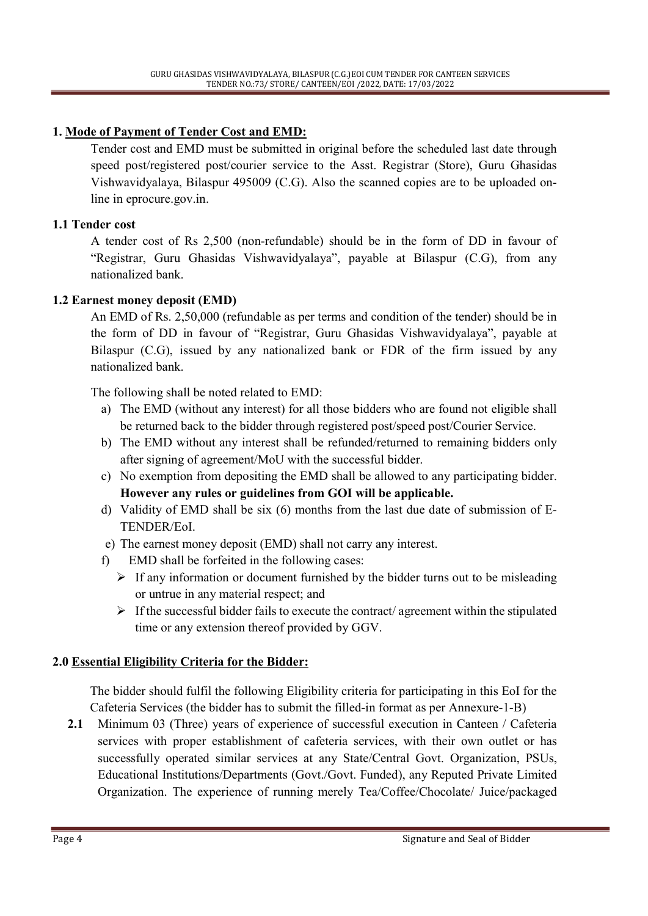### 1. Mode of Payment of Tender Cost and EMD:

Tender cost and EMD must be submitted in original before the scheduled last date through speed post/registered post/courier service to the Asst. Registrar (Store), Guru Ghasidas Vishwavidyalaya, Bilaspur 495009 (C.G). Also the scanned copies are to be uploaded online in eprocure.gov.in.

#### 1.1 Tender cost

A tender cost of Rs 2,500 (non-refundable) should be in the form of DD in favour of "Registrar, Guru Ghasidas Vishwavidyalaya", payable at Bilaspur (C.G), from any nationalized bank.

#### 1.2 Earnest money deposit (EMD)

An EMD of Rs. 2,50,000 (refundable as per terms and condition of the tender) should be in the form of DD in favour of "Registrar, Guru Ghasidas Vishwavidyalaya", payable at Bilaspur (C.G), issued by any nationalized bank or FDR of the firm issued by any nationalized bank.

The following shall be noted related to EMD:

- a) The EMD (without any interest) for all those bidders who are found not eligible shall be returned back to the bidder through registered post/speed post/Courier Service.
- b) The EMD without any interest shall be refunded/returned to remaining bidders only after signing of agreement/MoU with the successful bidder.
- c) No exemption from depositing the EMD shall be allowed to any participating bidder. However any rules or guidelines from GOI will be applicable.
- d) Validity of EMD shall be six (6) months from the last due date of submission of E-TENDER/EoI.
- e) The earnest money deposit (EMD) shall not carry any interest.
- f) EMD shall be forfeited in the following cases:
	- $\triangleright$  If any information or document furnished by the bidder turns out to be misleading or untrue in any material respect; and
	- $\triangleright$  If the successful bidder fails to execute the contract/ agreement within the stipulated time or any extension thereof provided by GGV.

### 2.0 Essential Eligibility Criteria for the Bidder:

The bidder should fulfil the following Eligibility criteria for participating in this EoI for the Cafeteria Services (the bidder has to submit the filled-in format as per Annexure-1-B)

2.1 Minimum 03 (Three) years of experience of successful execution in Canteen / Cafeteria services with proper establishment of cafeteria services, with their own outlet or has successfully operated similar services at any State/Central Govt. Organization, PSUs, Educational Institutions/Departments (Govt./Govt. Funded), any Reputed Private Limited Organization. The experience of running merely Tea/Coffee/Chocolate/ Juice/packaged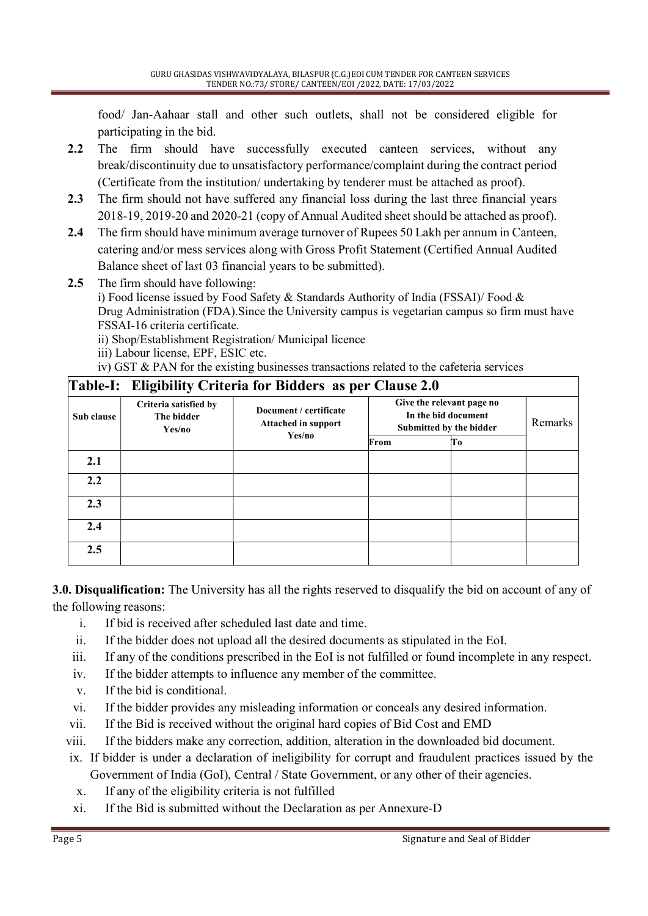food/ Jan-Aahaar stall and other such outlets, shall not be considered eligible for participating in the bid.

- 2.2 The firm should have successfully executed canteen services, without any break/discontinuity due to unsatisfactory performance/complaint during the contract period (Certificate from the institution/ undertaking by tenderer must be attached as proof).
- 2.3 The firm should not have suffered any financial loss during the last three financial years 2018-19, 2019-20 and 2020-21 (copy of Annual Audited sheet should be attached as proof).
- 2.4 The firm should have minimum average turnover of Rupees 50 Lakh per annum in Canteen, catering and/or mess services along with Gross Profit Statement (Certified Annual Audited Balance sheet of last 03 financial years to be submitted).
- 2.5 The firm should have following:

i) Food license issued by Food Safety & Standards Authority of India (FSSAI)/ Food & Drug Administration (FDA).Since the University campus is vegetarian campus so firm must have FSSAI-16 criteria certificate.

ii) Shop/Establishment Registration/ Municipal licence

iii) Labour license, EPF, ESIC etc.

iv) GST & PAN for the existing businesses transactions related to the cafeteria services

### Table-I: Eligibility Criteria for Bidders as per Clause 2.0

|            | O<br>ັ                                        | л.                                            |                                                                             |    |         |
|------------|-----------------------------------------------|-----------------------------------------------|-----------------------------------------------------------------------------|----|---------|
| Sub clause | Criteria satisfied by<br>The bidder<br>Yes/no | Document / certificate<br>Attached in support | Give the relevant page no<br>In the bid document<br>Submitted by the bidder |    | Remarks |
|            |                                               | Yes/no                                        | From                                                                        | Tо |         |
| 2.1        |                                               |                                               |                                                                             |    |         |
| 2.2        |                                               |                                               |                                                                             |    |         |
| 2.3        |                                               |                                               |                                                                             |    |         |
| 2.4        |                                               |                                               |                                                                             |    |         |
| 2.5        |                                               |                                               |                                                                             |    |         |

3.0. Disqualification: The University has all the rights reserved to disqualify the bid on account of any of the following reasons:

- i. If bid is received after scheduled last date and time.
- ii. If the bidder does not upload all the desired documents as stipulated in the EoI.
- iii. If any of the conditions prescribed in the EoI is not fulfilled or found incomplete in any respect.
- iv. If the bidder attempts to influence any member of the committee.
- v. If the bid is conditional.
- vi. If the bidder provides any misleading information or conceals any desired information.
- vii. If the Bid is received without the original hard copies of Bid Cost and EMD
- viii. If the bidders make any correction, addition, alteration in the downloaded bid document.
- ix. If bidder is under a declaration of ineligibility for corrupt and fraudulent practices issued by the Government of India (GoI), Central / State Government, or any other of their agencies.
- x. If any of the eligibility criteria is not fulfilled
- xi. If the Bid is submitted without the Declaration as per Annexure-D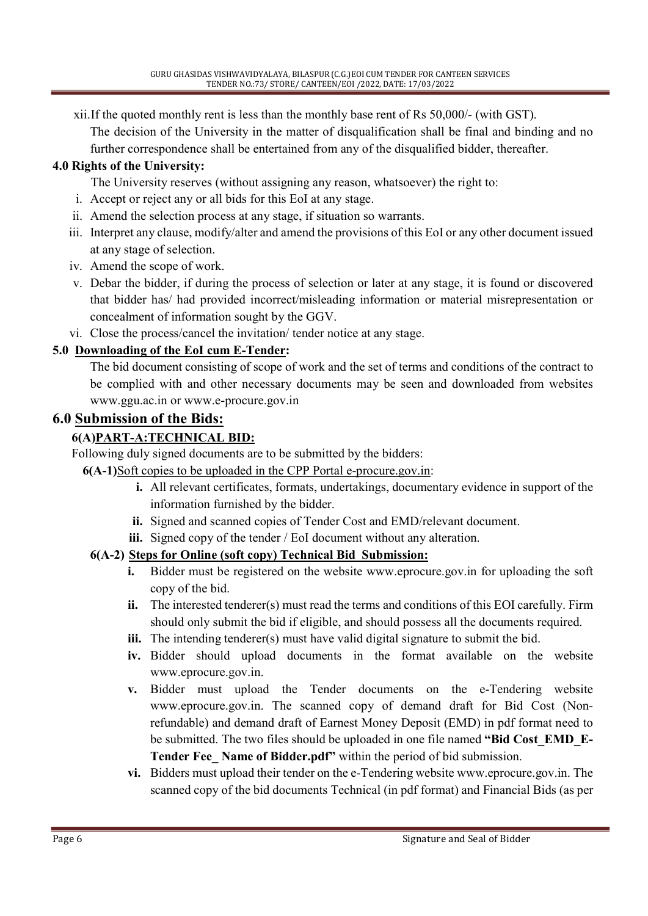xii.If the quoted monthly rent is less than the monthly base rent of Rs 50,000/- (with GST).

The decision of the University in the matter of disqualification shall be final and binding and no further correspondence shall be entertained from any of the disqualified bidder, thereafter.

#### 4.0 Rights of the University:

The University reserves (without assigning any reason, whatsoever) the right to:

- i. Accept or reject any or all bids for this EoI at any stage.
- ii. Amend the selection process at any stage, if situation so warrants.
- iii. Interpret any clause, modify/alter and amend the provisions of this EoI or any other document issued at any stage of selection.
- iv. Amend the scope of work.
- v. Debar the bidder, if during the process of selection or later at any stage, it is found or discovered that bidder has/ had provided incorrect/misleading information or material misrepresentation or concealment of information sought by the GGV.
- vi. Close the process/cancel the invitation/ tender notice at any stage.

### 5.0 Downloading of the EoI cum E-Tender:

The bid document consisting of scope of work and the set of terms and conditions of the contract to be complied with and other necessary documents may be seen and downloaded from websites www.ggu.ac.in or www.e-procure.gov.in

### 6.0 Submission of the Bids:

### 6(A)PART-A:TECHNICAL BID:

Following duly signed documents are to be submitted by the bidders:

6(A-1)Soft copies to be uploaded in the CPP Portal e-procure.gov.in:

- i. All relevant certificates, formats, undertakings, documentary evidence in support of the information furnished by the bidder.
- ii. Signed and scanned copies of Tender Cost and EMD/relevant document.
- iii. Signed copy of the tender / EoI document without any alteration.

### 6(A-2) Steps for Online (soft copy) Technical Bid Submission:

- i. Bidder must be registered on the website www.eprocure.gov.in for uploading the soft copy of the bid.
- ii. The interested tenderer(s) must read the terms and conditions of this EOI carefully. Firm should only submit the bid if eligible, and should possess all the documents required.
- iii. The intending tenderer(s) must have valid digital signature to submit the bid.
- iv. Bidder should upload documents in the format available on the website www.eprocure.gov.in.
- v. Bidder must upload the Tender documents on the e-Tendering website www.eprocure.gov.in. The scanned copy of demand draft for Bid Cost (Nonrefundable) and demand draft of Earnest Money Deposit (EMD) in pdf format need to be submitted. The two files should be uploaded in one file named "Bid Cost EMD E-Tender Fee Name of Bidder.pdf" within the period of bid submission.
- vi. Bidders must upload their tender on the e-Tendering website www.eprocure.gov.in. The scanned copy of the bid documents Technical (in pdf format) and Financial Bids (as per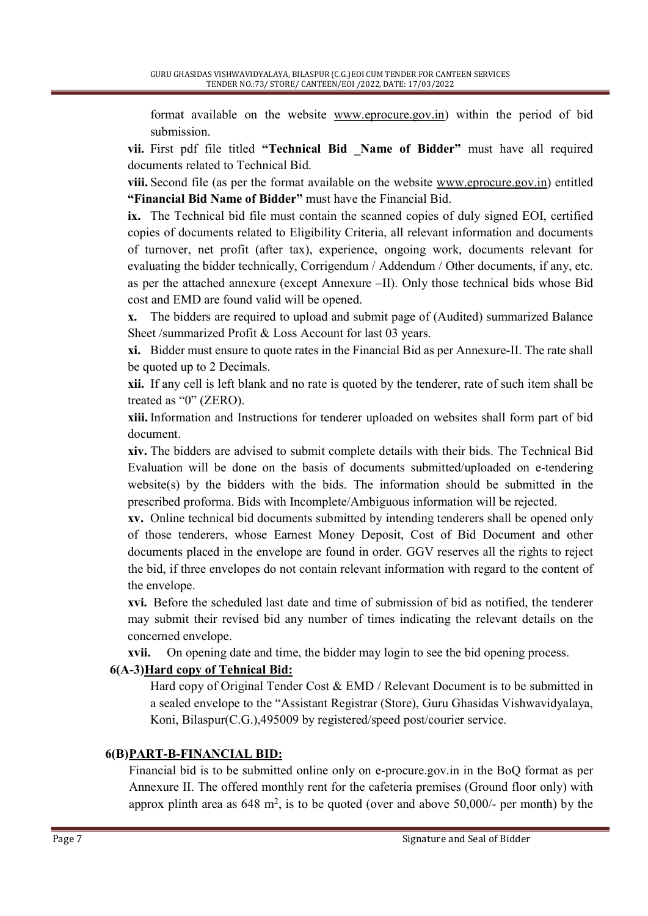format available on the website www.eprocure.gov.in) within the period of bid submission.

vii. First pdf file titled "Technical Bid Name of Bidder" must have all required documents related to Technical Bid.

viii. Second file (as per the format available on the website www.eprocure.gov.in) entitled "Financial Bid Name of Bidder" must have the Financial Bid.

ix. The Technical bid file must contain the scanned copies of duly signed EOI, certified copies of documents related to Eligibility Criteria, all relevant information and documents of turnover, net profit (after tax), experience, ongoing work, documents relevant for evaluating the bidder technically, Corrigendum / Addendum / Other documents, if any, etc. as per the attached annexure (except Annexure –II). Only those technical bids whose Bid cost and EMD are found valid will be opened.

x. The bidders are required to upload and submit page of (Audited) summarized Balance Sheet /summarized Profit & Loss Account for last 03 years.

xi. Bidder must ensure to quote rates in the Financial Bid as per Annexure-II. The rate shall be quoted up to 2 Decimals.

xii. If any cell is left blank and no rate is quoted by the tenderer, rate of such item shall be treated as "0" (ZERO).

xiii. Information and Instructions for tenderer uploaded on websites shall form part of bid document.

xiv. The bidders are advised to submit complete details with their bids. The Technical Bid Evaluation will be done on the basis of documents submitted/uploaded on e-tendering website(s) by the bidders with the bids. The information should be submitted in the prescribed proforma. Bids with Incomplete/Ambiguous information will be rejected.

xv. Online technical bid documents submitted by intending tenderers shall be opened only of those tenderers, whose Earnest Money Deposit, Cost of Bid Document and other documents placed in the envelope are found in order. GGV reserves all the rights to reject the bid, if three envelopes do not contain relevant information with regard to the content of the envelope.

xvi. Before the scheduled last date and time of submission of bid as notified, the tenderer may submit their revised bid any number of times indicating the relevant details on the concerned envelope.

xvii. On opening date and time, the bidder may login to see the bid opening process.

### 6(A-3)Hard copy of Tehnical Bid:

Hard copy of Original Tender Cost & EMD / Relevant Document is to be submitted in a sealed envelope to the "Assistant Registrar (Store), Guru Ghasidas Vishwavidyalaya, Koni, Bilaspur(C.G.),495009 by registered/speed post/courier service.

### 6(B) PART-B-FINANCIAL BID:

Financial bid is to be submitted online only on e-procure.gov.in in the BoQ format as per Annexure II. The offered monthly rent for the cafeteria premises (Ground floor only) with approx plinth area as  $648 \text{ m}^2$ , is to be quoted (over and above  $50,000/$ - per month) by the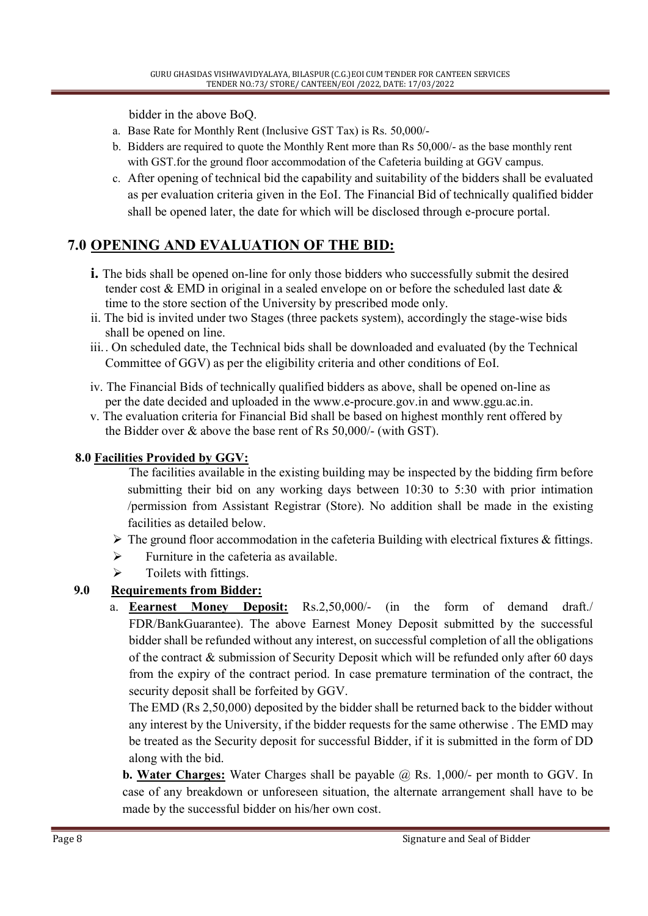bidder in the above BoQ.

- a. Base Rate for Monthly Rent (Inclusive GST Tax) is Rs. 50,000/-
- b. Bidders are required to quote the Monthly Rent more than Rs 50,000/- as the base monthly rent with GST.for the ground floor accommodation of the Cafeteria building at GGV campus.
- c. After opening of technical bid the capability and suitability of the bidders shall be evaluated as per evaluation criteria given in the EoI. The Financial Bid of technically qualified bidder shall be opened later, the date for which will be disclosed through e-procure portal.

### 7.0 OPENING AND EVALUATION OF THE BID:

- i. The bids shall be opened on-line for only those bidders who successfully submit the desired tender cost & EMD in original in a sealed envelope on or before the scheduled last date & time to the store section of the University by prescribed mode only.
- ii. The bid is invited under two Stages (three packets system), accordingly the stage-wise bids shall be opened on line.
- iii.. On scheduled date, the Technical bids shall be downloaded and evaluated (by the Technical Committee of GGV) as per the eligibility criteria and other conditions of EoI.
- iv. The Financial Bids of technically qualified bidders as above, shall be opened on-line as per the date decided and uploaded in the www.e-procure.gov.in and www.ggu.ac.in.
- v. The evaluation criteria for Financial Bid shall be based on highest monthly rent offered by the Bidder over & above the base rent of Rs 50,000/- (with GST).

### 8.0 Facilities Provided by GGV:

- The facilities available in the existing building may be inspected by the bidding firm before submitting their bid on any working days between 10:30 to 5:30 with prior intimation /permission from Assistant Registrar (Store). No addition shall be made in the existing facilities as detailed below.
- $\triangleright$  The ground floor accommodation in the cafeteria Building with electrical fixtures & fittings.
- $\triangleright$  Furniture in the cafeteria as available.
- $\triangleright$  Toilets with fittings.

### 9.0 Requirements from Bidder:

a. Eearnest Money Deposit: Rs.2,50,000/- (in the form of demand draft./ FDR/BankGuarantee). The above Earnest Money Deposit submitted by the successful bidder shall be refunded without any interest, on successful completion of all the obligations of the contract & submission of Security Deposit which will be refunded only after 60 days from the expiry of the contract period. In case premature termination of the contract, the security deposit shall be forfeited by GGV.

The EMD (Rs 2,50,000) deposited by the bidder shall be returned back to the bidder without any interest by the University, if the bidder requests for the same otherwise . The EMD may be treated as the Security deposit for successful Bidder, if it is submitted in the form of DD along with the bid.

**b. Water Charges:** Water Charges shall be payable  $\hat{\omega}$  Rs. 1,000/- per month to GGV. In case of any breakdown or unforeseen situation, the alternate arrangement shall have to be made by the successful bidder on his/her own cost.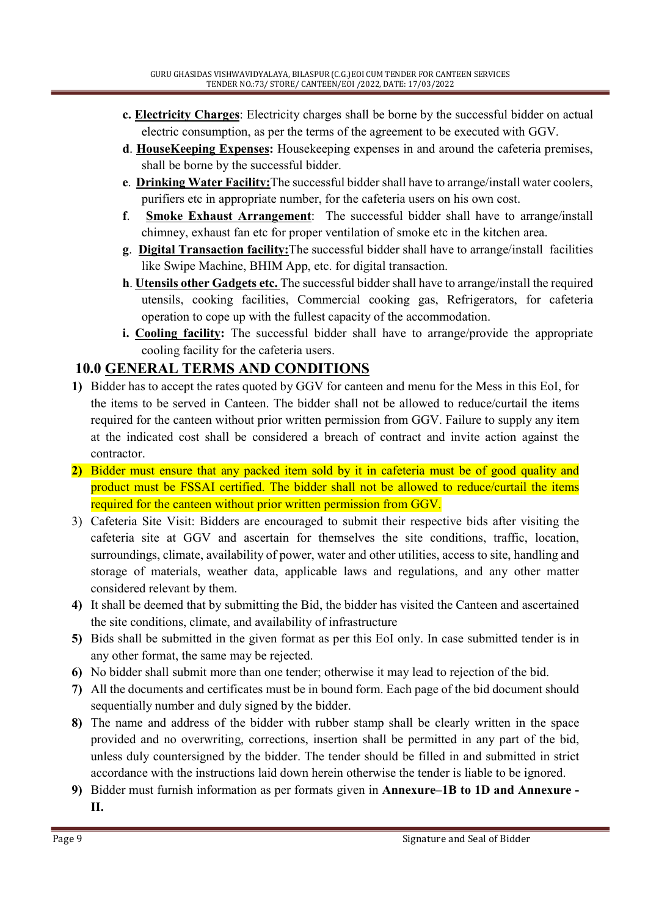- c. Electricity Charges: Electricity charges shall be borne by the successful bidder on actual electric consumption, as per the terms of the agreement to be executed with GGV.
- d. HouseKeeping Expenses: Housekeeping expenses in and around the cafeteria premises, shall be borne by the successful bidder.
- e. Drinking Water Facility:The successful bidder shall have to arrange/install water coolers, purifiers etc in appropriate number, for the cafeteria users on his own cost.
- f. Smoke Exhaust Arrangement: The successful bidder shall have to arrange/install chimney, exhaust fan etc for proper ventilation of smoke etc in the kitchen area.
- g. Digital Transaction facility:The successful bidder shall have to arrange/install facilities like Swipe Machine, BHIM App, etc. for digital transaction.
- h. Utensils other Gadgets etc. The successful bidder shall have to arrange/install the required utensils, cooking facilities, Commercial cooking gas, Refrigerators, for cafeteria operation to cope up with the fullest capacity of the accommodation.
- i. Cooling facility: The successful bidder shall have to arrange/provide the appropriate cooling facility for the cafeteria users.

### 10.0 GENERAL TERMS AND CONDITIONS

- 1) Bidder has to accept the rates quoted by GGV for canteen and menu for the Mess in this EoI, for the items to be served in Canteen. The bidder shall not be allowed to reduce/curtail the items required for the canteen without prior written permission from GGV. Failure to supply any item at the indicated cost shall be considered a breach of contract and invite action against the contractor.
- 2) Bidder must ensure that any packed item sold by it in cafeteria must be of good quality and product must be FSSAI certified. The bidder shall not be allowed to reduce/curtail the items required for the canteen without prior written permission from GGV.
- 3) Cafeteria Site Visit: Bidders are encouraged to submit their respective bids after visiting the cafeteria site at GGV and ascertain for themselves the site conditions, traffic, location, surroundings, climate, availability of power, water and other utilities, access to site, handling and storage of materials, weather data, applicable laws and regulations, and any other matter considered relevant by them.
- 4) It shall be deemed that by submitting the Bid, the bidder has visited the Canteen and ascertained the site conditions, climate, and availability of infrastructure
- 5) Bids shall be submitted in the given format as per this EoI only. In case submitted tender is in any other format, the same may be rejected.
- 6) No bidder shall submit more than one tender; otherwise it may lead to rejection of the bid.
- 7) All the documents and certificates must be in bound form. Each page of the bid document should sequentially number and duly signed by the bidder.
- 8) The name and address of the bidder with rubber stamp shall be clearly written in the space provided and no overwriting, corrections, insertion shall be permitted in any part of the bid, unless duly countersigned by the bidder. The tender should be filled in and submitted in strict accordance with the instructions laid down herein otherwise the tender is liable to be ignored.
- 9) Bidder must furnish information as per formats given in Annexure–1B to 1D and Annexure II.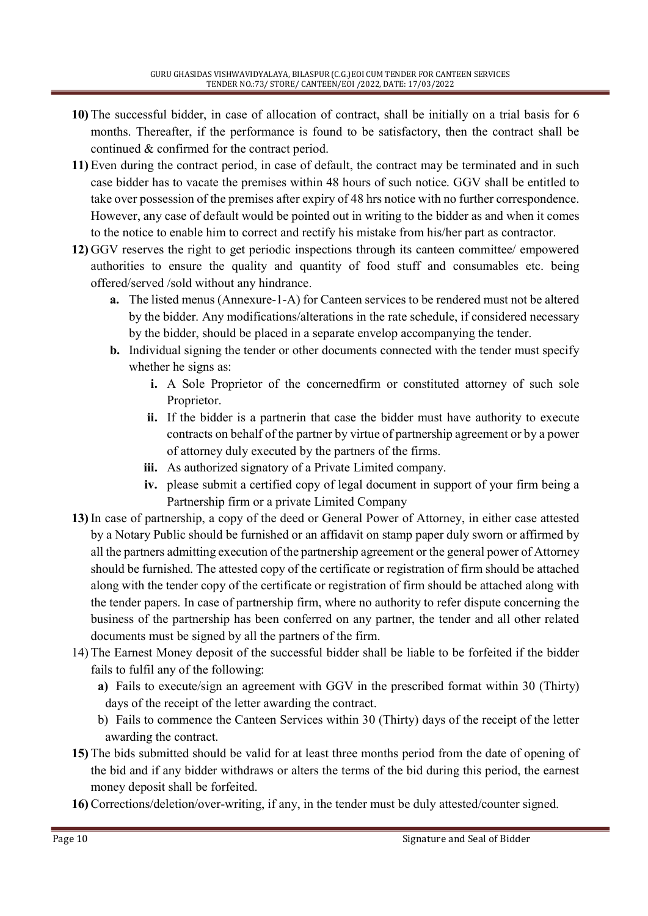- 10) The successful bidder, in case of allocation of contract, shall be initially on a trial basis for 6 months. Thereafter, if the performance is found to be satisfactory, then the contract shall be continued & confirmed for the contract period.
- 11) Even during the contract period, in case of default, the contract may be terminated and in such case bidder has to vacate the premises within 48 hours of such notice. GGV shall be entitled to take over possession of the premises after expiry of 48 hrs notice with no further correspondence. However, any case of default would be pointed out in writing to the bidder as and when it comes to the notice to enable him to correct and rectify his mistake from his/her part as contractor.
- 12) GGV reserves the right to get periodic inspections through its canteen committee/ empowered authorities to ensure the quality and quantity of food stuff and consumables etc. being offered/served /sold without any hindrance.
	- a. The listed menus (Annexure-1-A) for Canteen services to be rendered must not be altered by the bidder. Any modifications/alterations in the rate schedule, if considered necessary by the bidder, should be placed in a separate envelop accompanying the tender.
	- b. Individual signing the tender or other documents connected with the tender must specify whether he signs as:
		- i. A Sole Proprietor of the concernedfirm or constituted attorney of such sole Proprietor.
		- ii. If the bidder is a partnerin that case the bidder must have authority to execute contracts on behalf of the partner by virtue of partnership agreement or by a power of attorney duly executed by the partners of the firms.
		- iii. As authorized signatory of a Private Limited company.
		- iv. please submit a certified copy of legal document in support of your firm being a Partnership firm or a private Limited Company
- 13) In case of partnership, a copy of the deed or General Power of Attorney, in either case attested by a Notary Public should be furnished or an affidavit on stamp paper duly sworn or affirmed by all the partners admitting execution of the partnership agreement or the general power of Attorney should be furnished. The attested copy of the certificate or registration of firm should be attached along with the tender copy of the certificate or registration of firm should be attached along with the tender papers. In case of partnership firm, where no authority to refer dispute concerning the business of the partnership has been conferred on any partner, the tender and all other related documents must be signed by all the partners of the firm.
- 14) The Earnest Money deposit of the successful bidder shall be liable to be forfeited if the bidder fails to fulfil any of the following:
	- a) Fails to execute/sign an agreement with GGV in the prescribed format within 30 (Thirty) days of the receipt of the letter awarding the contract.
	- b) Fails to commence the Canteen Services within 30 (Thirty) days of the receipt of the letter awarding the contract.
- 15) The bids submitted should be valid for at least three months period from the date of opening of the bid and if any bidder withdraws or alters the terms of the bid during this period, the earnest money deposit shall be forfeited.
- 16) Corrections/deletion/over-writing, if any, in the tender must be duly attested/counter signed.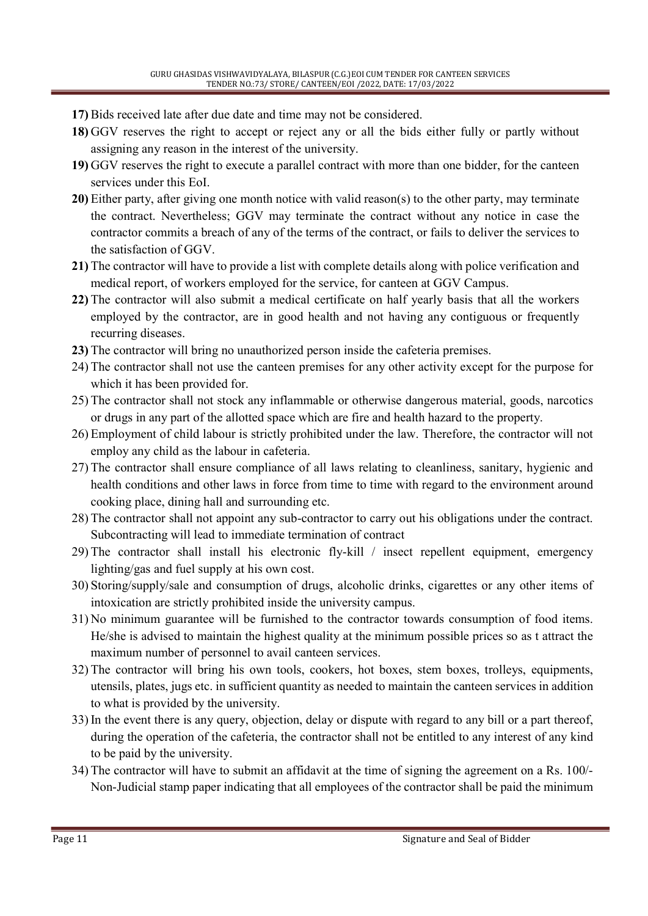- 17) Bids received late after due date and time may not be considered.
- 18) GGV reserves the right to accept or reject any or all the bids either fully or partly without assigning any reason in the interest of the university.
- 19) GGV reserves the right to execute a parallel contract with more than one bidder, for the canteen services under this EoI.
- 20) Either party, after giving one month notice with valid reason(s) to the other party, may terminate the contract. Nevertheless; GGV may terminate the contract without any notice in case the contractor commits a breach of any of the terms of the contract, or fails to deliver the services to the satisfaction of GGV.
- 21) The contractor will have to provide a list with complete details along with police verification and medical report, of workers employed for the service, for canteen at GGV Campus.
- 22) The contractor will also submit a medical certificate on half yearly basis that all the workers employed by the contractor, are in good health and not having any contiguous or frequently recurring diseases.
- 23) The contractor will bring no unauthorized person inside the cafeteria premises.
- 24) The contractor shall not use the canteen premises for any other activity except for the purpose for which it has been provided for.
- 25) The contractor shall not stock any inflammable or otherwise dangerous material, goods, narcotics or drugs in any part of the allotted space which are fire and health hazard to the property.
- 26) Employment of child labour is strictly prohibited under the law. Therefore, the contractor will not employ any child as the labour in cafeteria.
- 27) The contractor shall ensure compliance of all laws relating to cleanliness, sanitary, hygienic and health conditions and other laws in force from time to time with regard to the environment around cooking place, dining hall and surrounding etc.
- 28) The contractor shall not appoint any sub-contractor to carry out his obligations under the contract. Subcontracting will lead to immediate termination of contract
- 29) The contractor shall install his electronic fly-kill / insect repellent equipment, emergency lighting/gas and fuel supply at his own cost.
- 30) Storing/supply/sale and consumption of drugs, alcoholic drinks, cigarettes or any other items of intoxication are strictly prohibited inside the university campus.
- 31) No minimum guarantee will be furnished to the contractor towards consumption of food items. He/she is advised to maintain the highest quality at the minimum possible prices so as t attract the maximum number of personnel to avail canteen services.
- 32) The contractor will bring his own tools, cookers, hot boxes, stem boxes, trolleys, equipments, utensils, plates, jugs etc. in sufficient quantity as needed to maintain the canteen services in addition to what is provided by the university.
- 33) In the event there is any query, objection, delay or dispute with regard to any bill or a part thereof, during the operation of the cafeteria, the contractor shall not be entitled to any interest of any kind to be paid by the university.
- 34) The contractor will have to submit an affidavit at the time of signing the agreement on a Rs. 100/- Non-Judicial stamp paper indicating that all employees of the contractor shall be paid the minimum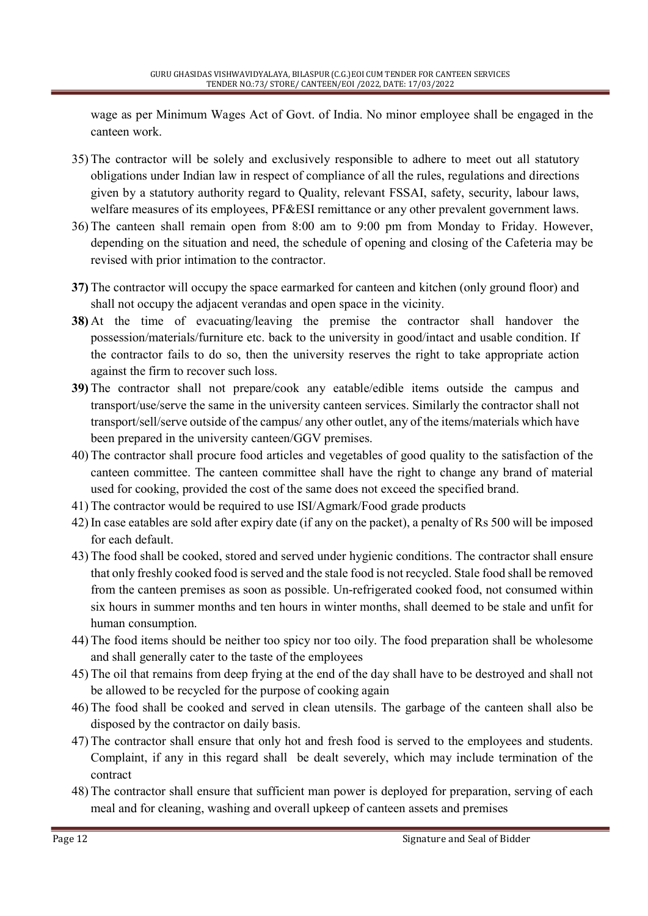wage as per Minimum Wages Act of Govt. of India. No minor employee shall be engaged in the canteen work.

- 35) The contractor will be solely and exclusively responsible to adhere to meet out all statutory obligations under Indian law in respect of compliance of all the rules, regulations and directions given by a statutory authority regard to Quality, relevant FSSAI, safety, security, labour laws, welfare measures of its employees, PF&ESI remittance or any other prevalent government laws.
- 36) The canteen shall remain open from 8:00 am to 9:00 pm from Monday to Friday. However, depending on the situation and need, the schedule of opening and closing of the Cafeteria may be revised with prior intimation to the contractor.
- 37) The contractor will occupy the space earmarked for canteen and kitchen (only ground floor) and shall not occupy the adjacent verandas and open space in the vicinity.
- 38) At the time of evacuating/leaving the premise the contractor shall handover the possession/materials/furniture etc. back to the university in good/intact and usable condition. If the contractor fails to do so, then the university reserves the right to take appropriate action against the firm to recover such loss.
- 39) The contractor shall not prepare/cook any eatable/edible items outside the campus and transport/use/serve the same in the university canteen services. Similarly the contractor shall not transport/sell/serve outside of the campus/ any other outlet, any of the items/materials which have been prepared in the university canteen/GGV premises.
- 40) The contractor shall procure food articles and vegetables of good quality to the satisfaction of the canteen committee. The canteen committee shall have the right to change any brand of material used for cooking, provided the cost of the same does not exceed the specified brand.
- 41) The contractor would be required to use ISI/Agmark/Food grade products
- 42) In case eatables are sold after expiry date (if any on the packet), a penalty of Rs 500 will be imposed for each default.
- 43) The food shall be cooked, stored and served under hygienic conditions. The contractor shall ensure that only freshly cooked food is served and the stale food is not recycled. Stale food shall be removed from the canteen premises as soon as possible. Un-refrigerated cooked food, not consumed within six hours in summer months and ten hours in winter months, shall deemed to be stale and unfit for human consumption.
- 44) The food items should be neither too spicy nor too oily. The food preparation shall be wholesome and shall generally cater to the taste of the employees
- 45) The oil that remains from deep frying at the end of the day shall have to be destroyed and shall not be allowed to be recycled for the purpose of cooking again
- 46) The food shall be cooked and served in clean utensils. The garbage of the canteen shall also be disposed by the contractor on daily basis.
- 47) The contractor shall ensure that only hot and fresh food is served to the employees and students. Complaint, if any in this regard shall be dealt severely, which may include termination of the contract
- 48) The contractor shall ensure that sufficient man power is deployed for preparation, serving of each meal and for cleaning, washing and overall upkeep of canteen assets and premises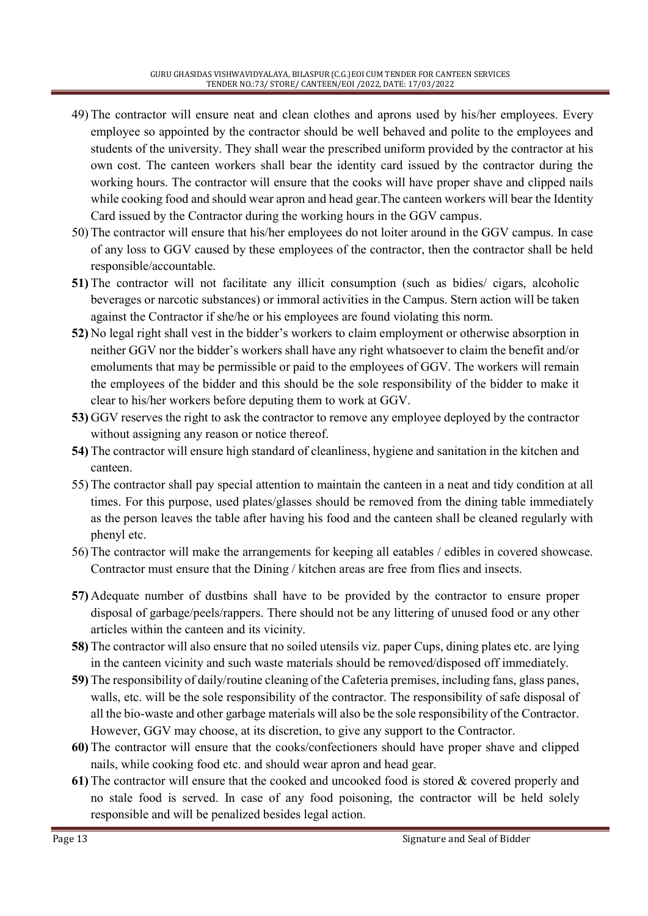- 49) The contractor will ensure neat and clean clothes and aprons used by his/her employees. Every employee so appointed by the contractor should be well behaved and polite to the employees and students of the university. They shall wear the prescribed uniform provided by the contractor at his own cost. The canteen workers shall bear the identity card issued by the contractor during the working hours. The contractor will ensure that the cooks will have proper shave and clipped nails while cooking food and should wear apron and head gear.The canteen workers will bear the Identity Card issued by the Contractor during the working hours in the GGV campus.
- 50) The contractor will ensure that his/her employees do not loiter around in the GGV campus. In case of any loss to GGV caused by these employees of the contractor, then the contractor shall be held responsible/accountable.
- 51) The contractor will not facilitate any illicit consumption (such as bidies/ cigars, alcoholic beverages or narcotic substances) or immoral activities in the Campus. Stern action will be taken against the Contractor if she/he or his employees are found violating this norm.
- 52) No legal right shall vest in the bidder's workers to claim employment or otherwise absorption in neither GGV nor the bidder's workers shall have any right whatsoever to claim the benefit and/or emoluments that may be permissible or paid to the employees of GGV. The workers will remain the employees of the bidder and this should be the sole responsibility of the bidder to make it clear to his/her workers before deputing them to work at GGV.
- 53) GGV reserves the right to ask the contractor to remove any employee deployed by the contractor without assigning any reason or notice thereof.
- 54) The contractor will ensure high standard of cleanliness, hygiene and sanitation in the kitchen and canteen.
- 55) The contractor shall pay special attention to maintain the canteen in a neat and tidy condition at all times. For this purpose, used plates/glasses should be removed from the dining table immediately as the person leaves the table after having his food and the canteen shall be cleaned regularly with phenyl etc.
- 56) The contractor will make the arrangements for keeping all eatables / edibles in covered showcase. Contractor must ensure that the Dining / kitchen areas are free from flies and insects.
- 57) Adequate number of dustbins shall have to be provided by the contractor to ensure proper disposal of garbage/peels/rappers. There should not be any littering of unused food or any other articles within the canteen and its vicinity.
- 58) The contractor will also ensure that no soiled utensils viz. paper Cups, dining plates etc. are lying in the canteen vicinity and such waste materials should be removed/disposed off immediately.
- 59) The responsibility of daily/routine cleaning of the Cafeteria premises, including fans, glass panes, walls, etc. will be the sole responsibility of the contractor. The responsibility of safe disposal of all the bio-waste and other garbage materials will also be the sole responsibility of the Contractor. However, GGV may choose, at its discretion, to give any support to the Contractor.
- 60) The contractor will ensure that the cooks/confectioners should have proper shave and clipped nails, while cooking food etc. and should wear apron and head gear.
- 61) The contractor will ensure that the cooked and uncooked food is stored & covered properly and no stale food is served. In case of any food poisoning, the contractor will be held solely responsible and will be penalized besides legal action.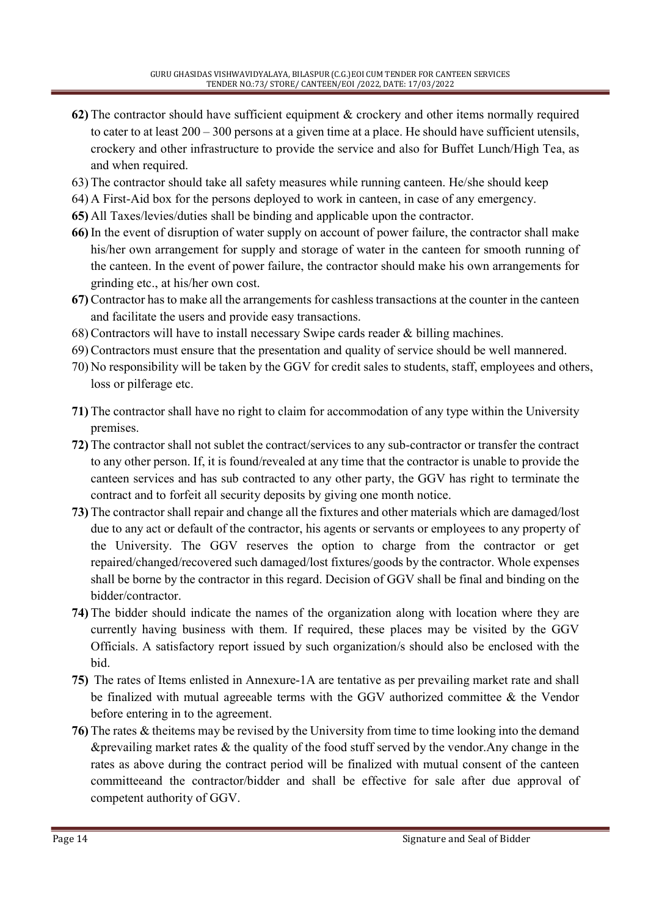- 62) The contractor should have sufficient equipment & crockery and other items normally required to cater to at least 200 – 300 persons at a given time at a place. He should have sufficient utensils, crockery and other infrastructure to provide the service and also for Buffet Lunch/High Tea, as and when required.
- 63) The contractor should take all safety measures while running canteen. He/she should keep
- 64) A First-Aid box for the persons deployed to work in canteen, in case of any emergency.
- 65) All Taxes/levies/duties shall be binding and applicable upon the contractor.
- 66) In the event of disruption of water supply on account of power failure, the contractor shall make his/her own arrangement for supply and storage of water in the canteen for smooth running of the canteen. In the event of power failure, the contractor should make his own arrangements for grinding etc., at his/her own cost.
- 67) Contractor has to make all the arrangements for cashless transactions at the counter in the canteen and facilitate the users and provide easy transactions.
- 68) Contractors will have to install necessary Swipe cards reader & billing machines.
- 69) Contractors must ensure that the presentation and quality of service should be well mannered.
- 70) No responsibility will be taken by the GGV for credit sales to students, staff, employees and others, loss or pilferage etc.
- 71) The contractor shall have no right to claim for accommodation of any type within the University premises.
- 72) The contractor shall not sublet the contract/services to any sub-contractor or transfer the contract to any other person. If, it is found/revealed at any time that the contractor is unable to provide the canteen services and has sub contracted to any other party, the GGV has right to terminate the contract and to forfeit all security deposits by giving one month notice.
- 73) The contractor shall repair and change all the fixtures and other materials which are damaged/lost due to any act or default of the contractor, his agents or servants or employees to any property of the University. The GGV reserves the option to charge from the contractor or get repaired/changed/recovered such damaged/lost fixtures/goods by the contractor. Whole expenses shall be borne by the contractor in this regard. Decision of GGV shall be final and binding on the bidder/contractor.
- 74) The bidder should indicate the names of the organization along with location where they are currently having business with them. If required, these places may be visited by the GGV Officials. A satisfactory report issued by such organization/s should also be enclosed with the bid.
- 75) The rates of Items enlisted in Annexure-1A are tentative as per prevailing market rate and shall be finalized with mutual agreeable terms with the GGV authorized committee & the Vendor before entering in to the agreement.
- 76) The rates & theitems may be revised by the University from time to time looking into the demand &prevailing market rates  $\&$  the quality of the food stuff served by the vendor. Any change in the rates as above during the contract period will be finalized with mutual consent of the canteen committeeand the contractor/bidder and shall be effective for sale after due approval of competent authority of GGV.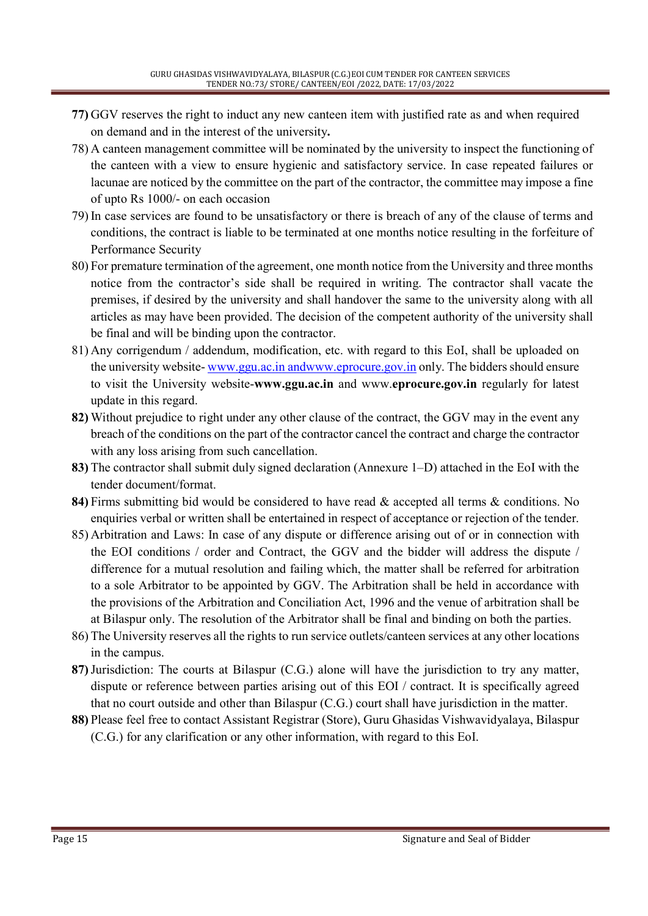- 77) GGV reserves the right to induct any new canteen item with justified rate as and when required on demand and in the interest of the university.
- 78) A canteen management committee will be nominated by the university to inspect the functioning of the canteen with a view to ensure hygienic and satisfactory service. In case repeated failures or lacunae are noticed by the committee on the part of the contractor, the committee may impose a fine of upto Rs 1000/- on each occasion
- 79) In case services are found to be unsatisfactory or there is breach of any of the clause of terms and conditions, the contract is liable to be terminated at one months notice resulting in the forfeiture of Performance Security
- 80) For premature termination of the agreement, one month notice from the University and three months notice from the contractor's side shall be required in writing. The contractor shall vacate the premises, if desired by the university and shall handover the same to the university along with all articles as may have been provided. The decision of the competent authority of the university shall be final and will be binding upon the contractor.
- 81) Any corrigendum / addendum, modification, etc. with regard to this EoI, shall be uploaded on the university website- www.ggu.ac.in andwww.eprocure.gov.in only. The bidders should ensure to visit the University website-www.ggu.ac.in and www.eprocure.gov.in regularly for latest update in this regard.
- 82) Without prejudice to right under any other clause of the contract, the GGV may in the event any breach of the conditions on the part of the contractor cancel the contract and charge the contractor with any loss arising from such cancellation.
- 83) The contractor shall submit duly signed declaration (Annexure 1–D) attached in the EoI with the tender document/format.
- 84) Firms submitting bid would be considered to have read & accepted all terms & conditions. No enquiries verbal or written shall be entertained in respect of acceptance or rejection of the tender.
- 85) Arbitration and Laws: In case of any dispute or difference arising out of or in connection with the EOI conditions / order and Contract, the GGV and the bidder will address the dispute / difference for a mutual resolution and failing which, the matter shall be referred for arbitration to a sole Arbitrator to be appointed by GGV. The Arbitration shall be held in accordance with the provisions of the Arbitration and Conciliation Act, 1996 and the venue of arbitration shall be at Bilaspur only. The resolution of the Arbitrator shall be final and binding on both the parties.
- 86) The University reserves all the rights to run service outlets/canteen services at any other locations in the campus.
- 87)Jurisdiction: The courts at Bilaspur (C.G.) alone will have the jurisdiction to try any matter, dispute or reference between parties arising out of this EOI / contract. It is specifically agreed that no court outside and other than Bilaspur (C.G.) court shall have jurisdiction in the matter.
- 88) Please feel free to contact Assistant Registrar (Store), Guru Ghasidas Vishwavidyalaya, Bilaspur (C.G.) for any clarification or any other information, with regard to this EoI.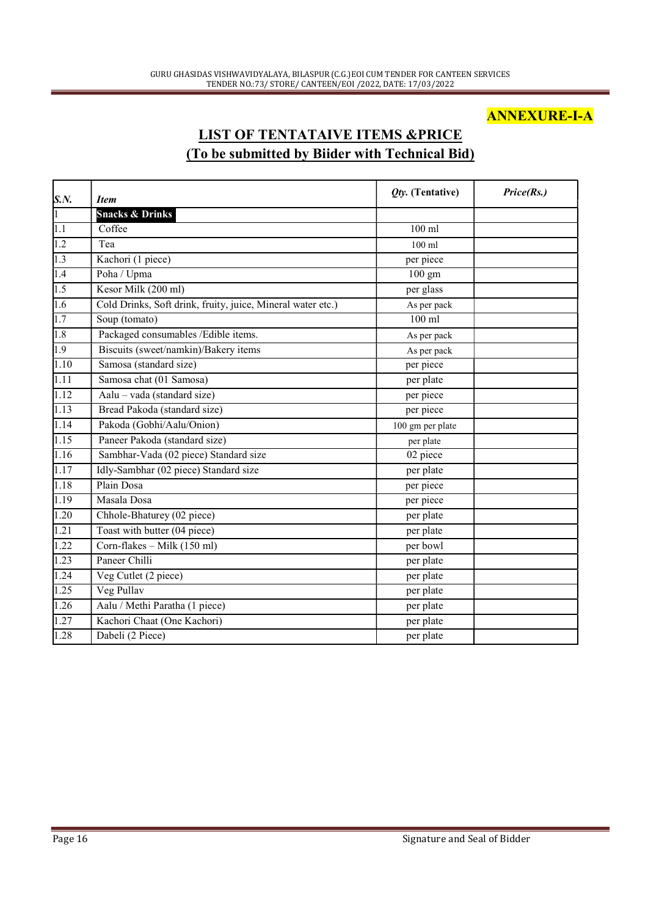### ANNEXURE-I-A

### LIST OF TENTATAIVE ITEMS &PRICE (To be submitted by Biider with Technical Bid)

| <b>Snacks &amp; Drinks</b><br>Coffee<br>$100$ ml<br>Tea<br>$100$ ml<br>Kachori (1 piece)<br>per piece<br>Poha / Upma<br>$100 \text{ gm}$<br>Kesor Milk (200 ml)<br>per glass<br>Cold Drinks, Soft drink, fruity, juice, Mineral water etc.)<br>As per pack<br>Soup (tomato)<br>$100$ ml<br>Packaged consumables /Edible items.<br>As per pack<br>Biscuits (sweet/namkin)/Bakery items<br>As per pack<br>Samosa (standard size)<br>per piece<br>Samosa chat (01 Samosa)<br>per plate<br>Aalu – vada (standard size)<br>per piece<br>Bread Pakoda (standard size)<br>per piece<br>Pakoda (Gobhi/Aalu/Onion)<br>100 gm per plate<br>Paneer Pakoda (standard size)<br>per plate<br>Sambhar-Vada (02 piece) Standard size<br>02 piece<br>Idly-Sambhar (02 piece) Standard size<br>per plate<br>Plain Dosa<br>per piece<br>Masala Dosa<br>per piece<br>Chhole-Bhaturey (02 piece)<br>per plate<br>Toast with butter (04 piece)<br>per plate<br>Corn-flakes – Milk (150 ml)<br>per bowl<br>Paneer Chilli<br>per plate<br>Veg Cutlet (2 piece)<br>per plate | S.N.              | <b>Item</b> | <i><b>Qty. (Tentative)</b></i> | Price(Rs.) |
|-----------------------------------------------------------------------------------------------------------------------------------------------------------------------------------------------------------------------------------------------------------------------------------------------------------------------------------------------------------------------------------------------------------------------------------------------------------------------------------------------------------------------------------------------------------------------------------------------------------------------------------------------------------------------------------------------------------------------------------------------------------------------------------------------------------------------------------------------------------------------------------------------------------------------------------------------------------------------------------------------------------------------------------------------------|-------------------|-------------|--------------------------------|------------|
|                                                                                                                                                                                                                                                                                                                                                                                                                                                                                                                                                                                                                                                                                                                                                                                                                                                                                                                                                                                                                                                     | $\overline{1}$    |             |                                |            |
|                                                                                                                                                                                                                                                                                                                                                                                                                                                                                                                                                                                                                                                                                                                                                                                                                                                                                                                                                                                                                                                     | $\overline{1.1}$  |             |                                |            |
|                                                                                                                                                                                                                                                                                                                                                                                                                                                                                                                                                                                                                                                                                                                                                                                                                                                                                                                                                                                                                                                     | 1.2               |             |                                |            |
|                                                                                                                                                                                                                                                                                                                                                                                                                                                                                                                                                                                                                                                                                                                                                                                                                                                                                                                                                                                                                                                     | 1.3               |             |                                |            |
|                                                                                                                                                                                                                                                                                                                                                                                                                                                                                                                                                                                                                                                                                                                                                                                                                                                                                                                                                                                                                                                     | 1.4               |             |                                |            |
|                                                                                                                                                                                                                                                                                                                                                                                                                                                                                                                                                                                                                                                                                                                                                                                                                                                                                                                                                                                                                                                     | 1.5               |             |                                |            |
|                                                                                                                                                                                                                                                                                                                                                                                                                                                                                                                                                                                                                                                                                                                                                                                                                                                                                                                                                                                                                                                     | 1.6               |             |                                |            |
|                                                                                                                                                                                                                                                                                                                                                                                                                                                                                                                                                                                                                                                                                                                                                                                                                                                                                                                                                                                                                                                     | 1.7               |             |                                |            |
|                                                                                                                                                                                                                                                                                                                                                                                                                                                                                                                                                                                                                                                                                                                                                                                                                                                                                                                                                                                                                                                     | 1.8               |             |                                |            |
|                                                                                                                                                                                                                                                                                                                                                                                                                                                                                                                                                                                                                                                                                                                                                                                                                                                                                                                                                                                                                                                     | $\overline{1.9}$  |             |                                |            |
|                                                                                                                                                                                                                                                                                                                                                                                                                                                                                                                                                                                                                                                                                                                                                                                                                                                                                                                                                                                                                                                     | 1.10              |             |                                |            |
|                                                                                                                                                                                                                                                                                                                                                                                                                                                                                                                                                                                                                                                                                                                                                                                                                                                                                                                                                                                                                                                     | 1.11              |             |                                |            |
|                                                                                                                                                                                                                                                                                                                                                                                                                                                                                                                                                                                                                                                                                                                                                                                                                                                                                                                                                                                                                                                     | 1.12              |             |                                |            |
|                                                                                                                                                                                                                                                                                                                                                                                                                                                                                                                                                                                                                                                                                                                                                                                                                                                                                                                                                                                                                                                     | 1.13              |             |                                |            |
|                                                                                                                                                                                                                                                                                                                                                                                                                                                                                                                                                                                                                                                                                                                                                                                                                                                                                                                                                                                                                                                     | 1.14              |             |                                |            |
|                                                                                                                                                                                                                                                                                                                                                                                                                                                                                                                                                                                                                                                                                                                                                                                                                                                                                                                                                                                                                                                     | 1.15              |             |                                |            |
|                                                                                                                                                                                                                                                                                                                                                                                                                                                                                                                                                                                                                                                                                                                                                                                                                                                                                                                                                                                                                                                     | 1.16              |             |                                |            |
|                                                                                                                                                                                                                                                                                                                                                                                                                                                                                                                                                                                                                                                                                                                                                                                                                                                                                                                                                                                                                                                     | 1.17              |             |                                |            |
|                                                                                                                                                                                                                                                                                                                                                                                                                                                                                                                                                                                                                                                                                                                                                                                                                                                                                                                                                                                                                                                     | 1.18              |             |                                |            |
|                                                                                                                                                                                                                                                                                                                                                                                                                                                                                                                                                                                                                                                                                                                                                                                                                                                                                                                                                                                                                                                     | 1.19              |             |                                |            |
|                                                                                                                                                                                                                                                                                                                                                                                                                                                                                                                                                                                                                                                                                                                                                                                                                                                                                                                                                                                                                                                     | 1.20              |             |                                |            |
|                                                                                                                                                                                                                                                                                                                                                                                                                                                                                                                                                                                                                                                                                                                                                                                                                                                                                                                                                                                                                                                     | 1.21              |             |                                |            |
|                                                                                                                                                                                                                                                                                                                                                                                                                                                                                                                                                                                                                                                                                                                                                                                                                                                                                                                                                                                                                                                     | 1.22              |             |                                |            |
|                                                                                                                                                                                                                                                                                                                                                                                                                                                                                                                                                                                                                                                                                                                                                                                                                                                                                                                                                                                                                                                     | 1.23              |             |                                |            |
|                                                                                                                                                                                                                                                                                                                                                                                                                                                                                                                                                                                                                                                                                                                                                                                                                                                                                                                                                                                                                                                     | 1.24              |             |                                |            |
| Veg Pullav<br>per plate                                                                                                                                                                                                                                                                                                                                                                                                                                                                                                                                                                                                                                                                                                                                                                                                                                                                                                                                                                                                                             | 1.25              |             |                                |            |
| Aalu / Methi Paratha (1 piece)<br>per plate                                                                                                                                                                                                                                                                                                                                                                                                                                                                                                                                                                                                                                                                                                                                                                                                                                                                                                                                                                                                         | $\overline{1.26}$ |             |                                |            |
| Kachori Chaat (One Kachori)<br>per plate                                                                                                                                                                                                                                                                                                                                                                                                                                                                                                                                                                                                                                                                                                                                                                                                                                                                                                                                                                                                            | 1.27              |             |                                |            |
| Dabeli (2 Piece)<br>per plate                                                                                                                                                                                                                                                                                                                                                                                                                                                                                                                                                                                                                                                                                                                                                                                                                                                                                                                                                                                                                       | 1.28              |             |                                |            |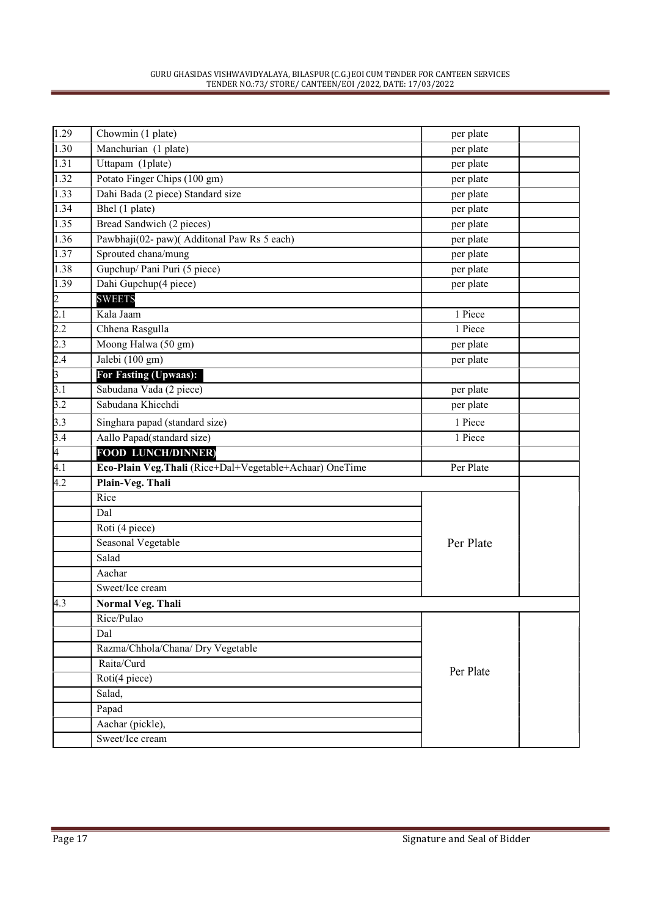| 1.29                               | Chowmin (1 plate)                                       | per plate |  |
|------------------------------------|---------------------------------------------------------|-----------|--|
| 1.30                               | Manchurian (1 plate)                                    | per plate |  |
| $\overline{1.31}$                  | Uttapam (1plate)                                        | per plate |  |
| $\overline{1.32}$                  | Potato Finger Chips (100 gm)                            | per plate |  |
| 1.33                               | Dahi Bada (2 piece) Standard size                       | per plate |  |
| 1.34                               | Bhel $(1$ plate)                                        | per plate |  |
| 1.35                               | Bread Sandwich (2 pieces)                               | per plate |  |
| 1.36                               | Pawbhaji(02- paw)(Additonal Paw Rs 5 each)              | per plate |  |
| 1.37                               | Sprouted chana/mung                                     | per plate |  |
| 1.38                               | Gupchup/ Pani Puri (5 piece)                            | per plate |  |
| 1.39                               | Dahi Gupchup(4 piece)                                   | per plate |  |
|                                    | <b>SWEETS</b>                                           |           |  |
| $\frac{2}{2.1}$                    | Kala Jaam                                               | 1 Piece   |  |
| 2.2                                | Chhena Rasgulla                                         | 1 Piece   |  |
| 2.3                                | Moong Halwa (50 gm)                                     | per plate |  |
|                                    | Jalebi (100 gm)                                         | per plate |  |
| $\frac{2.4}{3}$<br>3.1             | For Fasting (Upwaas):                                   |           |  |
|                                    | Sabudana Vada (2 piece)                                 | per plate |  |
| $\overline{3.2}$                   | Sabudana Khicchdi                                       | per plate |  |
| 3.3                                | Singhara papad (standard size)                          | 1 Piece   |  |
| $\frac{3.4}{4}$<br>$\frac{4}{4.1}$ | Aallo Papad(standard size)                              | 1 Piece   |  |
|                                    | <b>FOOD LUNCH/DINNER)</b>                               |           |  |
|                                    | Eco-Plain Veg.Thali (Rice+Dal+Vegetable+Achaar) OneTime | Per Plate |  |
| 4.2                                | Plain-Veg. Thali                                        |           |  |
|                                    | Rice                                                    |           |  |
|                                    | Dal                                                     |           |  |
|                                    | Roti (4 piece)                                          |           |  |
|                                    | Seasonal Vegetable                                      | Per Plate |  |
|                                    | Salad                                                   |           |  |
|                                    | Aachar                                                  |           |  |
|                                    | Sweet/Ice cream                                         |           |  |
| 4.3                                | <b>Normal Veg. Thali</b>                                |           |  |
|                                    | Rice/Pulao                                              |           |  |
|                                    | Dal                                                     |           |  |
|                                    | Razma/Chhola/Chana/ Dry Vegetable                       |           |  |
|                                    | Raita/Curd<br>Per Plate                                 |           |  |
|                                    | Roti(4 piece)                                           |           |  |
|                                    | Salad,                                                  |           |  |
|                                    | Papad                                                   |           |  |
|                                    | Aachar (pickle),                                        |           |  |
|                                    | Sweet/Ice cream                                         |           |  |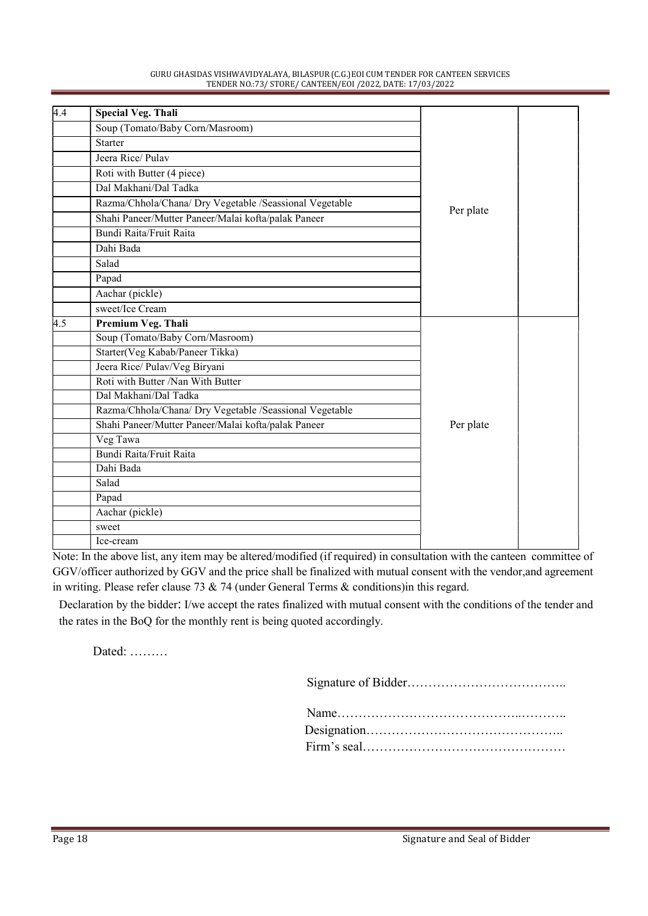| GURU GHASIDAS VISHWAVIDYALAYA, BILASPUR (C.G.) EOI CUM TENDER FOR CANTEEN SERVICES |
|------------------------------------------------------------------------------------|
| TENDER NO.:73/ STORE/ CANTEEN/EOI /2022, DATE: 17/03/2022                          |

| 4.4 | <b>Special Veg. Thali</b>                               |           |  |
|-----|---------------------------------------------------------|-----------|--|
|     | Soup (Tomato/Baby Corn/Masroom)                         |           |  |
|     | Starter                                                 |           |  |
|     | Jeera Rice/Pulay                                        |           |  |
|     | Roti with Butter (4 piece)                              |           |  |
|     | Dal Makhani/Dal Tadka                                   |           |  |
|     | Razma/Chhola/Chana/ Dry Vegetable /Seassional Vegetable |           |  |
|     | Shahi Paneer/Mutter Paneer/Malai kofta/palak Paneer     | Per plate |  |
|     | Bundi Raita/Fruit Raita                                 |           |  |
|     | Dahi Bada                                               |           |  |
|     | Salad                                                   |           |  |
|     | Papad                                                   |           |  |
|     | Aachar (pickle)                                         |           |  |
|     | sweet/Ice Cream                                         |           |  |
| 4.5 | Premium Veg. Thali                                      |           |  |
|     | Soup (Tomato/Baby Corn/Masroom)                         |           |  |
|     | Starter(Veg Kabab/Paneer Tikka)                         |           |  |
|     | Jeera Rice/ Pulav/Veg Biryani                           |           |  |
|     | Roti with Butter /Nan With Butter                       |           |  |
|     | Dal Makhani/Dal Tadka                                   |           |  |
|     | Razma/Chhola/Chana/ Dry Vegetable /Seassional Vegetable |           |  |
|     | Shahi Paneer/Mutter Paneer/Malai kofta/palak Paneer     | Per plate |  |
|     | Veg Tawa                                                |           |  |
|     | Bundi Raita/Fruit Raita                                 |           |  |
|     | Dahi Bada                                               |           |  |
|     | Salad                                                   |           |  |
|     | Papad                                                   |           |  |
|     | Aachar (pickle)                                         |           |  |
|     | sweet                                                   |           |  |
|     | Ice-cream                                               |           |  |

Note: In the above list, any item may be altered/modified (if required) in consultation with the canteen committee of GGV/officer authorized by GGV and the price shall be finalized with mutual consent with the vendor,and agreement in writing. Please refer clause 73 & 74 (under General Terms & conditions)in this regard.

Declaration by the bidder: I/we accept the rates finalized with mutual consent with the conditions of the tender and the rates in the BoQ for the monthly rent is being quoted accordingly.

Dated: ………

Signature of Bidder………………………………..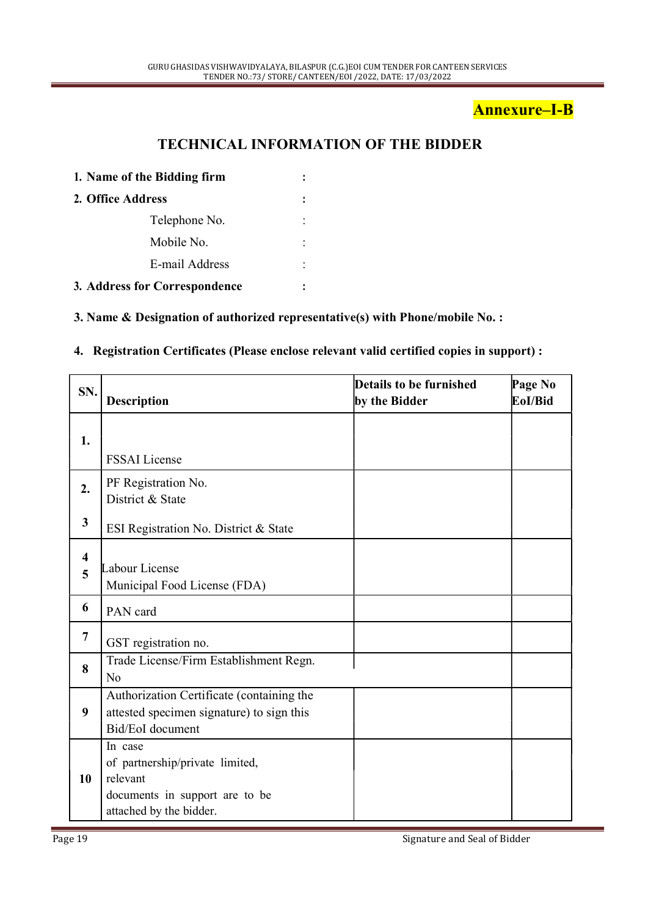### Annexure–I-B

### TECHNICAL INFORMATION OF THE BIDDER

| 1. Name of the Bidding firm<br>2. Office Address |                               |  |
|--------------------------------------------------|-------------------------------|--|
|                                                  |                               |  |
|                                                  | Telephone No.                 |  |
|                                                  | Mobile No.                    |  |
|                                                  | E-mail Address                |  |
|                                                  | 3. Address for Correspondence |  |

#### 3. Name & Designation of authorized representative(s) with Phone/mobile No. :

#### 4. Registration Certificates (Please enclose relevant valid certified copies in support) :

| SN.                          | <b>Description</b>                                                                                                  | Details to be furnished<br>by the Bidder | Page No<br>EoI/Bid |
|------------------------------|---------------------------------------------------------------------------------------------------------------------|------------------------------------------|--------------------|
| 1.                           |                                                                                                                     |                                          |                    |
|                              | <b>FSSAI</b> License                                                                                                |                                          |                    |
| 2.                           | PF Registration No.                                                                                                 |                                          |                    |
|                              | District & State                                                                                                    |                                          |                    |
| $\mathbf{3}$                 | ESI Registration No. District & State                                                                               |                                          |                    |
| $\overline{\mathbf{4}}$<br>5 | Labour License<br>Municipal Food License (FDA)                                                                      |                                          |                    |
| 6                            | PAN card                                                                                                            |                                          |                    |
| $\overline{7}$               | GST registration no.                                                                                                |                                          |                    |
| 8                            | Trade License/Firm Establishment Regn.<br>N <sub>o</sub>                                                            |                                          |                    |
| 9                            | Authorization Certificate (containing the<br>attested specimen signature) to sign this<br>Bid/EoI document          |                                          |                    |
| 10                           | In case<br>of partnership/private limited,<br>relevant<br>documents in support are to be<br>attached by the bidder. |                                          |                    |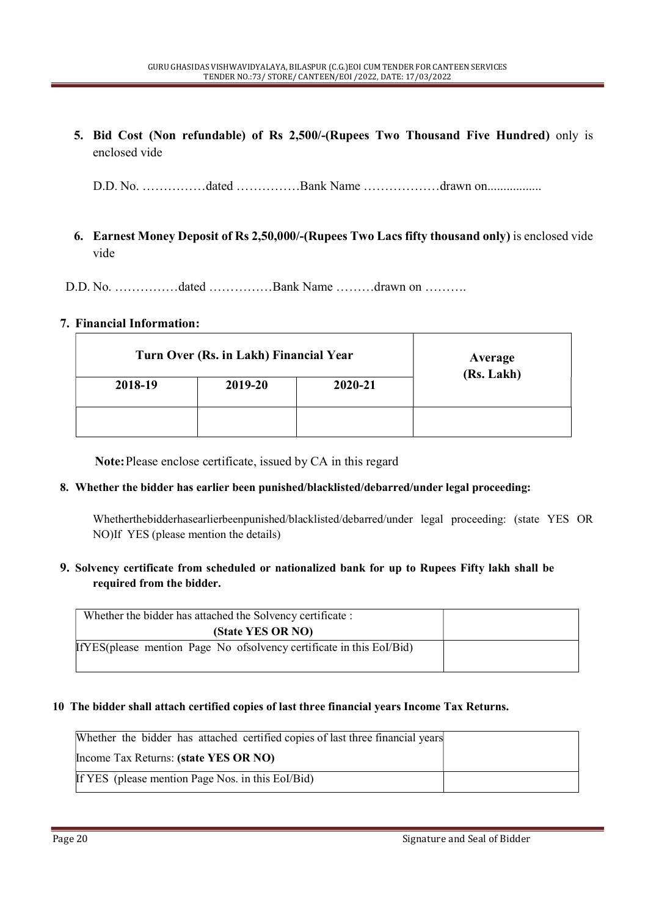5. Bid Cost (Non refundable) of Rs 2,500/-(Rupees Two Thousand Five Hundred) only is enclosed vide

D.D. No. ……………dated ……………Bank Name ………………drawn on.................

- 6. Earnest Money Deposit of Rs 2,50,000/-(Rupees Two Lacs fifty thousand only) is enclosed vide vide
- D.D. No. ……………dated ……………Bank Name ………drawn on ……….

#### 7. Financial Information:

|         | Turn Over (Rs. in Lakh) Financial Year |         |            |
|---------|----------------------------------------|---------|------------|
| 2018-19 | 2019-20                                | 2020-21 | (Rs. Lakh) |
|         |                                        |         |            |

Note: Please enclose certificate, issued by CA in this regard

#### 8. Whether the bidder has earlier been punished/blacklisted/debarred/under legal proceeding:

Whetherthebidderhasearlierbeenpunished/blacklisted/debarred/under legal proceeding: (state YES OR NO)If YES (please mention the details)

#### 9. Solvency certificate from scheduled or nationalized bank for up to Rupees Fifty lakh shall be required from the bidder.

| Whether the bidder has attached the Solvency certificate :              |  |
|-------------------------------------------------------------------------|--|
| (State YES OR NO)                                                       |  |
| If YES (please mention Page No of solvency certificate in this Eol/Bid) |  |
|                                                                         |  |

#### 10 The bidder shall attach certified copies of last three financial years Income Tax Returns.

| Whether the bidder has attached certified copies of last three financial years |  |
|--------------------------------------------------------------------------------|--|
| Income Tax Returns: (state YES OR NO)                                          |  |
| If YES (please mention Page Nos. in this Eol/Bid)                              |  |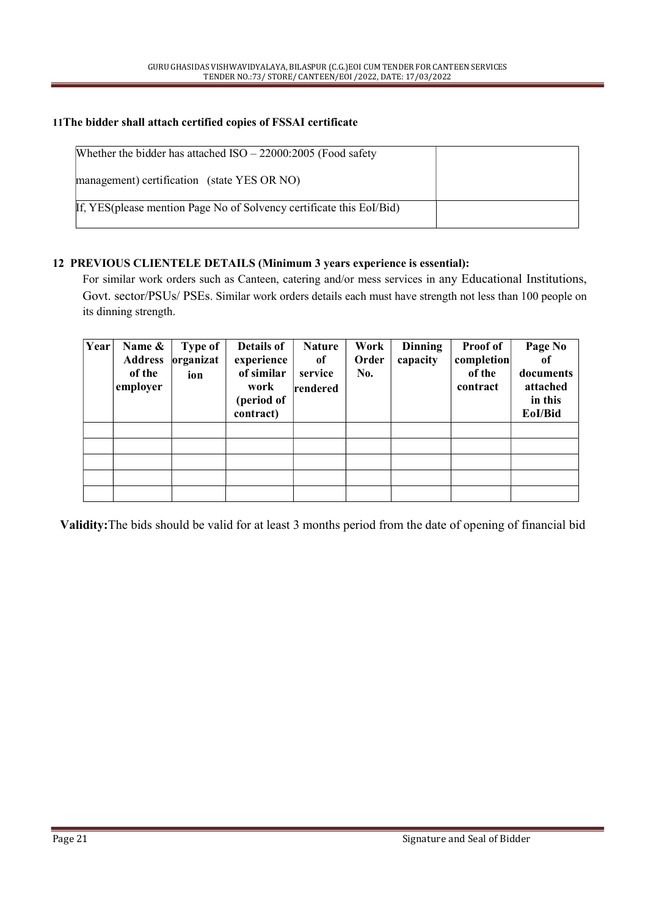#### 11The bidder shall attach certified copies of FSSAI certificate

| Whether the bidder has attached $ISO - 22000:2005$ (Food safety       |  |
|-----------------------------------------------------------------------|--|
| management) certification (state YES OR NO)                           |  |
| If, YES (please mention Page No of Solvency certificate this EoI/Bid) |  |

#### 12 PREVIOUS CLIENTELE DETAILS (Minimum 3 years experience is essential):

For similar work orders such as Canteen, catering and/or mess services in any Educational Institutions, Govt. sector/PSUs/ PSEs. Similar work orders details each must have strength not less than 100 people on its dinning strength.

| Year | Name &<br><b>Address</b><br>of the<br>employer | <b>Type of</b><br>organizat<br>ion | Details of<br>experience<br>of similar<br>work<br>(period of<br>contract) | <b>Nature</b><br><sub>of</sub><br>service<br>rendered | Work<br>Order<br>No. | <b>Dinning</b><br>capacity | <b>Proof of</b><br>completion<br>of the<br>contract | Page No<br>0f<br>documents<br>attached<br>in this<br>EoI/Bid |  |
|------|------------------------------------------------|------------------------------------|---------------------------------------------------------------------------|-------------------------------------------------------|----------------------|----------------------------|-----------------------------------------------------|--------------------------------------------------------------|--|
|      |                                                |                                    |                                                                           |                                                       |                      |                            |                                                     |                                                              |  |
|      |                                                |                                    |                                                                           |                                                       |                      |                            |                                                     |                                                              |  |
|      |                                                |                                    |                                                                           |                                                       |                      |                            |                                                     |                                                              |  |
|      |                                                |                                    |                                                                           |                                                       |                      |                            |                                                     |                                                              |  |

Validity:The bids should be valid for at least 3 months period from the date of opening of financial bid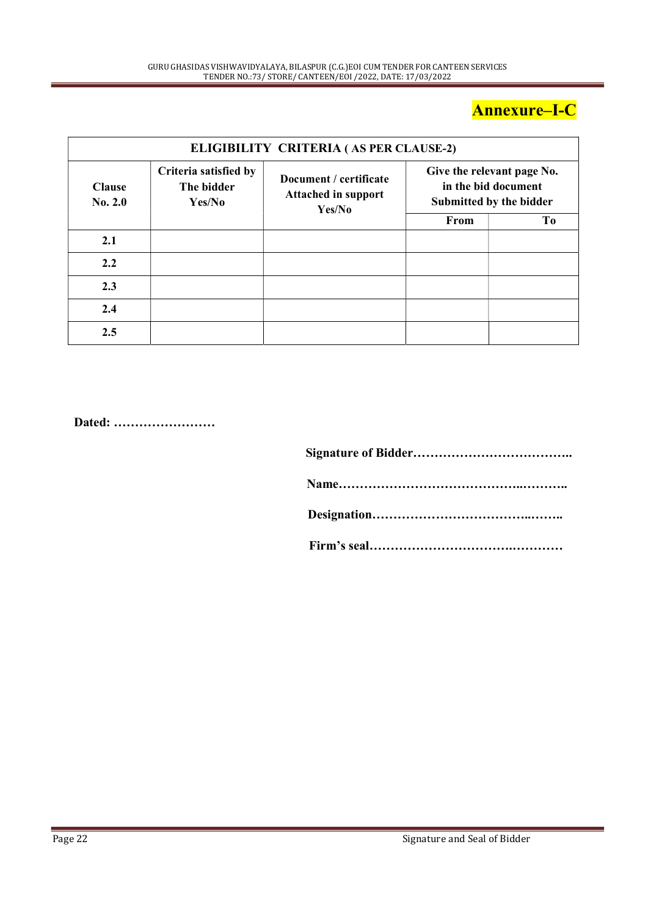## Annexure–I-C

|                          |                                               | ELIGIBILITY CRITERIA (AS PER CLAUSE-2)                         |      |                                                                              |
|--------------------------|-----------------------------------------------|----------------------------------------------------------------|------|------------------------------------------------------------------------------|
| <b>Clause</b><br>No. 2.0 | Criteria satisfied by<br>The bidder<br>Yes/No | Document / certificate<br><b>Attached in support</b><br>Yes/No |      | Give the relevant page No.<br>in the bid document<br>Submitted by the bidder |
|                          |                                               |                                                                | From | To                                                                           |
| 2.1                      |                                               |                                                                |      |                                                                              |
| 2.2                      |                                               |                                                                |      |                                                                              |
| 2.3                      |                                               |                                                                |      |                                                                              |
| 2.4                      |                                               |                                                                |      |                                                                              |
| 2.5                      |                                               |                                                                |      |                                                                              |

Dated: ……………………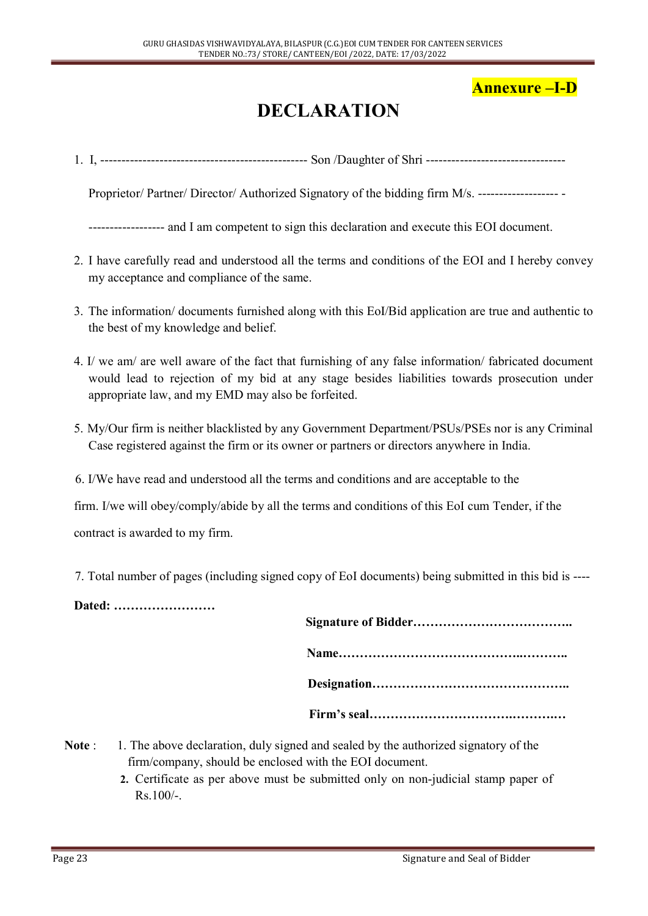### Annexure –I-D

# DECLARATION

1. I, ------------------------------------------------- Son /Daughter of Shri ---------------------------------

Proprietor/ Partner/ Director/ Authorized Signatory of the bidding firm M/s. ----------------------

------------------ and I am competent to sign this declaration and execute this EOI document.

- 2. I have carefully read and understood all the terms and conditions of the EOI and I hereby convey my acceptance and compliance of the same.
- 3. The information/ documents furnished along with this EoI/Bid application are true and authentic to the best of my knowledge and belief.
- 4. I/ we am/ are well aware of the fact that furnishing of any false information/ fabricated document would lead to rejection of my bid at any stage besides liabilities towards prosecution under appropriate law, and my EMD may also be forfeited.
- 5. My/Our firm is neither blacklisted by any Government Department/PSUs/PSEs nor is any Criminal Case registered against the firm or its owner or partners or directors anywhere in India.
- 6. I/We have read and understood all the terms and conditions and are acceptable to the

firm. I/we will obey/comply/abide by all the terms and conditions of this EoI cum Tender, if the

contract is awarded to my firm.

7. Total number of pages (including signed copy of EoI documents) being submitted in this bid is ----

Dated: ……………………

- Note : 1. The above declaration, duly signed and sealed by the authorized signatory of the firm/company, should be enclosed with the EOI document.
	- 2. Certificate as per above must be submitted only on non-judicial stamp paper of  $Rs.100/-$ .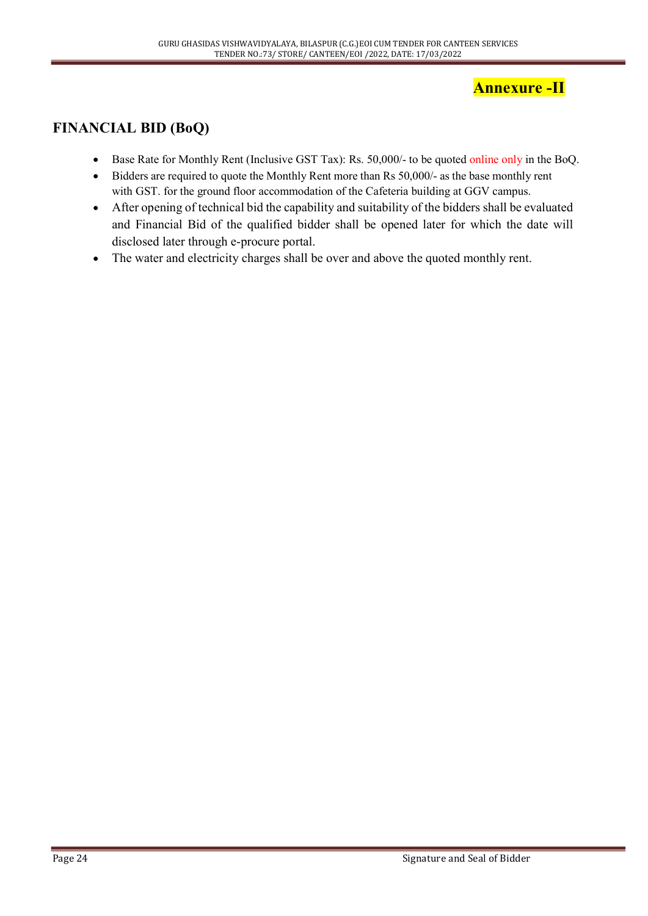### Annexure -II

### FINANCIAL BID (BoQ)

- Base Rate for Monthly Rent (Inclusive GST Tax): Rs. 50,000/- to be quoted online only in the BoQ.
- Bidders are required to quote the Monthly Rent more than Rs 50,000/- as the base monthly rent with GST. for the ground floor accommodation of the Cafeteria building at GGV campus.
- After opening of technical bid the capability and suitability of the bidders shall be evaluated and Financial Bid of the qualified bidder shall be opened later for which the date will disclosed later through e-procure portal.
- The water and electricity charges shall be over and above the quoted monthly rent.